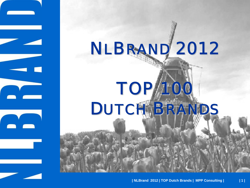## NLBRAND 2012

# **TOP/100** DUTCH BRANDS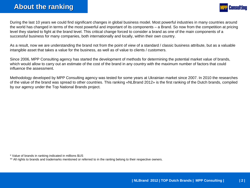

During the last 10 years we could find significant changes in global business model. Most powerful industries in many countries around the world has changed in terms of the most powerful and important of its components – a Brand. So now from the competition at pricing level they started to fight at the brand level. This critical change forced to consider a brand as one of the main components of <sup>a</sup> successful business for many companies, both internationally and locally, within their own country.

As a result, now we are understanding the brand not from the point of view of a standard / classic business attribute, but as a valuable intangible asset that takes a value for the business, as well as of value to clients / customers.

Since 2006, MPP Consulting agency has started the development of methods for determining the potential market value of brands, which would allow to carry out an estimate of the cost of the brand in any country with the maximum number of factors that coul d influence the assessment.

Methodology developed by MPP Consulting agency was tested for some years at Ukrainian market since 2007. In 2010 the researches of the value of the brand was spread to other countries. This ranking «NLBrand 2012» is the first ranking of the Dutch brands, compiled by our agency under the Top National Brands project.

\* Value of brands in ranking indicated in millions \$US

\*\* All rights to brands and trademarks mentioned or referred to in the ranting belong to their respective owners.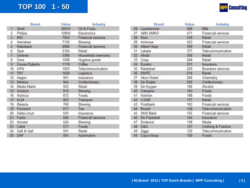#### **TOP 100 1 TOP 100 1 - 50**

|  | <b>MPP Consulting</b> |
|--|-----------------------|
|--|-----------------------|

|                | <b>Brand</b>    | Value | Industry                  |
|----------------|-----------------|-------|---------------------------|
| 1              | Shell           | 20933 | Oil & Fuels               |
| 2              | Philips         | 12850 | Electronics               |
| $\overline{3}$ | <b>ING</b>      | 7955  | <b>Financial services</b> |
| 4              | Heineken        | 7130  | Brewing                   |
| 5              | Rabobank        | 6980  | <b>Financial services</b> |
| 6              | Spar            | 5124  | Retail                    |
| 7              | Unilever        | 3360  | Household chemistry       |
| 8              | Dove            | 1268  | Hygiene goods             |
| 9              | Douwe Eqberts   | 1118  | Coffee                    |
| 10             | <b>KPN</b>      | 1093  | Telecommunication         |
| 11             | <b>TNT</b>      | 1026  | Logistics                 |
| 12             | Aegon           | 991   | Insurance                 |
| 13             | Mentos          | 944   | Confectionary             |
| 14             | Media Markt     | 933   | Retail                    |
| 15             | Grolsch         | 919   | Brewing                   |
| 16             | Nutricia        | 872   | Foods                     |
| 17             | <b>KLM</b>      | 823   | Transport                 |
| 18             | Bavaria         | 760   | Brewing                   |
| 19             | <b>Pickwick</b> | 617   | Tea                       |
| 20             | Delta Lloyd     | 593   | Insurance                 |
| 21             | Fortis          | 584   | <b>Financial services</b> |
| $22^{\circ}$   | Amstel          | 524   | Brewing                   |
| 23             | Calvé           | 517   | Foods                     |
| 24             | Gall & Gall     | 501   | Retail                    |
| 25             | DAF             | 495   | Automotive                |

|                 | <b>Brand</b>    | Value | Industry                  |
|-----------------|-----------------|-------|---------------------------|
| 26              | Leerdammer      | 490   | Milk                      |
| 27              | <b>ABN AMRO</b> | 471   | <b>Financial services</b> |
| 28              | Etos            | 438   | Retail                    |
| 29              | Achmea          | 423   | <b>Financial services</b> |
| 30              | Albert Heijn    | 399   | Retail                    |
| 31              | Lebara          | 377   | Telecommunication         |
| 32 <sup>2</sup> | Ahold           | 358   | Retail                    |
| 33              | Coop            | 248   | Retail                    |
| 34              | Eureko          | 231   | Insurance                 |
| 35              | Randstad        | 229   | <b>Business services</b>  |
| 36              | <b>EMTÉ</b>     | 218   | Retail                    |
| 37              | Akzo Nobel      | 206   | Chemistry                 |
| 38              | De Ruijter      | 202   | Confectionary             |
| 39              | De Kuyper       | 196   | Alcohol                   |
| 40              | Campina         | 193   | Foods                     |
| 41              | Nutrilon        | 188   | Foods                     |
| 42              | C1000           | 177   | Retail                    |
| 43              | Postbank        | 163   | <b>Financial services</b> |
| 44              | <b>Brunel</b>   | 158   | Telecommunication         |
| 45              | <b>SNS Bank</b> | 155   | <b>Financial services</b> |
| 46              | De Friesland    | 144   | Insurance                 |
| 47              | Endemol         | 138   | Media                     |
| 48              | C&A             | 137   | Clothing & Fashion        |
| 49              | Ziggo           | 132   | Telecommunication         |
| 50              | Cup-a-Soup      | 126   | Foods                     |
|                 |                 |       |                           |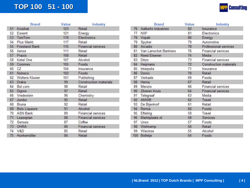#### **TOP 100 51 TOP 100 51 - 100**

|  | <b>MPP</b> Consulting |
|--|-----------------------|
|--|-----------------------|

|    | <b>Brand</b>          | Value | Industry                      |
|----|-----------------------|-------|-------------------------------|
| 51 | Kruidvat              | 123   | Retail                        |
| 52 | Essent                | 121   | Energy                        |
|    | 53 TomTom             | 119   | Electronics                   |
| 54 | <b>Plus Markt</b>     | 117   | Retail                        |
|    | 55 Friesland Bank     | 115   | <b>Financial services</b>     |
| 56 | Xenos                 | 111   | Retail                        |
| 57 | Praxis                | 108   | Retail                        |
| 58 | Ketel One             | 107   | Alcohol                       |
|    | 59 Conimex            | 105   | Foods                         |
| 60 | CZ                    | 104   | Insurance                     |
| 61 | Nutreco               | 102   | Foods                         |
| 62 | <b>Wolters Kluwer</b> | 101   | Publishing                    |
| 63 | Draka                 | 99    | <b>Construction materials</b> |
| 64 | Bol.com               | 98    | Retail                        |
| 65 | Digros                | 97    | Retail                        |
| 66 | Vredestein            | 96    | Chemistry                     |
| 67 | Jumbo                 | 95    | Retail                        |
| 68 | <b>Bruna</b>          | 92    | Retail                        |
| 69 | <b>Bols Liqueurs</b>  | 91    | Alcohol                       |
| 70 | <b>ASN Bank</b>       | 89    | <b>Financial services</b>     |
| 71 | Leaseplan             | 88    | <b>Financial services</b>     |
| 72 | Senseo                | 87    | Coffee                        |
| 73 | <b>OHRA</b>           | 86    | <b>Financial services</b>     |
| 74 | V&D                   | 85    | Retail                        |
| 75 | Hunkemöller           | 84    | Retail                        |

|     | <b>Brand</b>          | Value | Industry                      |
|-----|-----------------------|-------|-------------------------------|
| 76  | Aalberts Industries   | 82    | Insurance                     |
| 77  | <b>NXP</b>            | 81    | Electronics                   |
| 78  | Vopak                 | 80    | Energy                        |
| 79  | Spyker                | 79    | Automotive                    |
| 80  | Arcadis               | 78    | Professional services         |
| 81  | Van Lanschot Bankiers | 76    | <b>Financial services</b>     |
| 82  | <b>Reed Elsevier</b>  | 74    | Media                         |
| 83  | Ditzo                 | 73    | <b>Financial services</b>     |
| 84  | Heijmans              | 72    | <b>Construction materials</b> |
| 85  | Interpolis            | 71    | Insurance                     |
| 86  | Domo                  | 70    | Retail                        |
| 87  | Verkade               | 69    | Foods                         |
| 88  | Hema                  | 67    | Retail                        |
| 89  | Menzis                | 66    | <b>Financial services</b>     |
| 90  | Zilveren Kruis        | 64    | <b>Financial services</b>     |
| 91  | Telegraaf             | 63    | Media                         |
| 92  | ANWB                  | 62    | Travel                        |
| 93  | De Bijenkorf          | 61    | Retail                        |
| 94  | Remia                 | 60    | Foods                         |
| 95  | Efteling              | 59    | Travel                        |
| 96  | Marktplaats.nl        | 58    | Services                      |
| 97  | Unox                  | 57    | Foods                         |
| 98  | Wehkamp               | 56    | Retail                        |
| 99  | Wieckse               | 55    | Alcohol                       |
| 100 | Bolletje              | 54    | Foods                         |
|     |                       |       |                               |